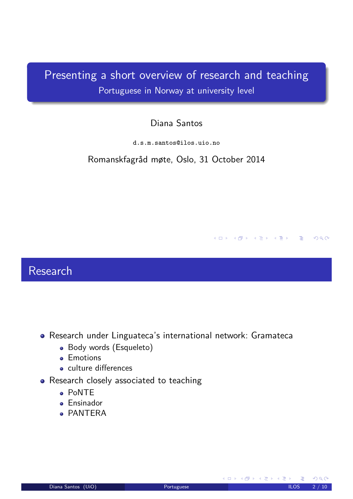## Presenting a short overview of research and teaching Portuguese in Norway at university level

### Diana Santos

d.s.m.santos@ilos.uio.no

Romanskfagråd møte, Oslo, 31 October 2014

### Research

- Research under Linguateca's international network: Gramateca
	- Body words (Esqueleto)
	- **e** Emotions
	- **culture differences**
- <span id="page-0-0"></span>• Research closely associated to teaching
	- PoNTE
	- **•** Ensinador
	- **PANTERA**

<span id="page-0-1"></span>**K ロ ▶ K 御 ▶ K 君 ▶ K 君 ▶** 

4 ロ ト 4 何 ト 4 ヨ ト 4 ヨ ト - ヨ - 1 - 9 Q Q -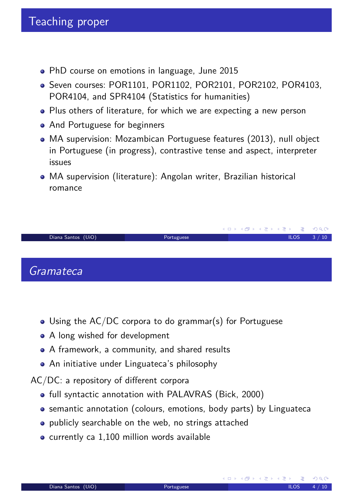- PhD course on emotions in language, June 2015
- Seven courses: POR1101, POR1102, POR2101, POR2102, POR4103, POR4104, and SPR4104 (Statistics for humanities)
- Plus others of literature, for which we are expecting a new person
- And Portuguese for beginners
- MA supervision: Mozambican Portuguese features (2013), null object in Portuguese (in progress), contrastive tense and aspect, interpreter issues
- MA supervision (literature): Angolan writer, Brazilian historical romance



- Using the AC/DC corpora to do grammar(s) for Portuguese
- A long wished for development
- A framework, a community, and shared results
- An initiative under Linguateca's philosophy

AC/DC: a repository of different corpora

- full syntactic annotation with PALAVRAS (Bick, 2000)
- semantic annotation (colours, emotions, body parts) by Linguateca
- publicly searchable on the web, no strings attached
- currently ca 1,100 million words available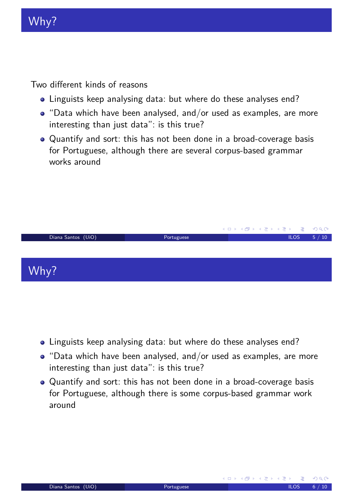# Why?

Two different kinds of reasons

- Linguists keep analysing data: but where do these analyses end?
- "Data which have been analysed, and/or used as examples, are more interesting than just data": is this true?
- Quantify and sort: this has not been done in a broad-coverage basis for Portuguese, although there are several corpus-based grammar works around



- Linguists keep analysing data: but where do these analyses end?
- "Data which have been analysed, and/or used as examples, are more interesting than just data": is this true?
- <span id="page-2-0"></span>Quantify and sort: this has not been done in a broad-coverage basis for Portuguese, although there is some corpus-based grammar work around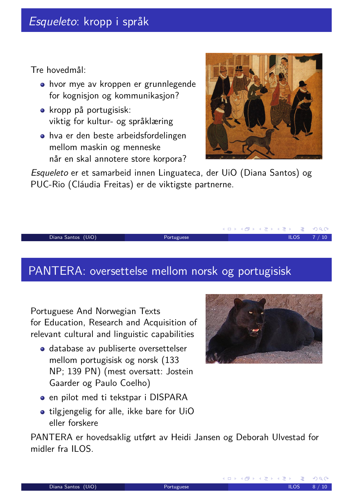Tre hovedmål:

- hvor mye av kroppen er grunnlegende for kognisjon og kommunikasjon?
- kropp på portugisisk: viktig for kultur- og språklæring
- hva er den beste arbeidsfordelingen mellom maskin og menneske når en skal annotere store korpora?



Esqueleto er et samarbeid innen Linguateca, der UiO (Diana Santos) og PUC-Rio (Cláudia Freitas) er de viktigste partnerne.

#### Diana Santos (UiO) **Portuguese** ILOS 7 / 10

### PANTERA: oversettelse mellom norsk og portugisisk

Portuguese And Norwegian Texts for Education, Research and Acquisition of relevant cultural and linguistic capabilities

database av publiserte oversettelser mellom portugisisk og norsk (133 NP; 139 PN) (mest oversatt: Jostein Gaarder og Paulo Coelho)



K ロ ▶ K 御 ▶ K 重 ▶ K 重 ▶

- en pilot med ti tekstpar i DISPARA
- tilgjengelig for alle, ikke bare for UiO eller forskere

<span id="page-3-0"></span>PANTERA er hovedsaklig utført av Heidi Jansen og Deborah Ulvestad for midler fra ILOS.